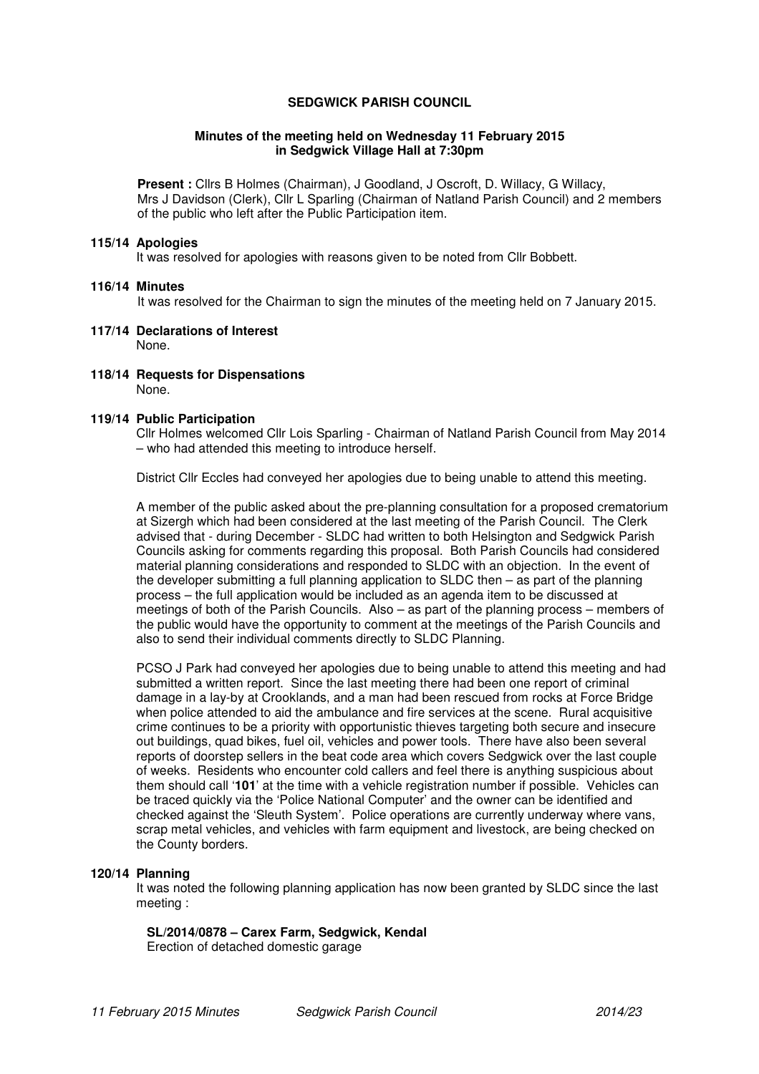### **SEDGWICK PARISH COUNCIL**

#### **Minutes of the meeting held on Wednesday 11 February 2015 in Sedgwick Village Hall at 7:30pm**

**Present :** Cllrs B Holmes (Chairman), J Goodland, J Oscroft, D. Willacy, G Willacy, Mrs J Davidson (Clerk), Cllr L Sparling (Chairman of Natland Parish Council) and 2 members of the public who left after the Public Participation item.

#### **115/14 Apologies**

It was resolved for apologies with reasons given to be noted from Cllr Bobbett.

### **116/14 Minutes**

It was resolved for the Chairman to sign the minutes of the meeting held on 7 January 2015.

- **117/14 Declarations of Interest**  None.
- **118/14 Requests for Dispensations**  None.

#### **119/14 Public Participation**

Cllr Holmes welcomed Cllr Lois Sparling - Chairman of Natland Parish Council from May 2014 – who had attended this meeting to introduce herself.

District Cllr Eccles had conveyed her apologies due to being unable to attend this meeting.

A member of the public asked about the pre-planning consultation for a proposed crematorium at Sizergh which had been considered at the last meeting of the Parish Council. The Clerk advised that - during December - SLDC had written to both Helsington and Sedgwick Parish Councils asking for comments regarding this proposal. Both Parish Councils had considered material planning considerations and responded to SLDC with an objection. In the event of the developer submitting a full planning application to SLDC then – as part of the planning process – the full application would be included as an agenda item to be discussed at meetings of both of the Parish Councils. Also – as part of the planning process – members of the public would have the opportunity to comment at the meetings of the Parish Councils and also to send their individual comments directly to SLDC Planning.

PCSO J Park had conveyed her apologies due to being unable to attend this meeting and had submitted a written report. Since the last meeting there had been one report of criminal damage in a lay-by at Crooklands, and a man had been rescued from rocks at Force Bridge when police attended to aid the ambulance and fire services at the scene. Rural acquisitive crime continues to be a priority with opportunistic thieves targeting both secure and insecure out buildings, quad bikes, fuel oil, vehicles and power tools. There have also been several reports of doorstep sellers in the beat code area which covers Sedgwick over the last couple of weeks. Residents who encounter cold callers and feel there is anything suspicious about them should call '**101**' at the time with a vehicle registration number if possible. Vehicles can be traced quickly via the 'Police National Computer' and the owner can be identified and checked against the 'Sleuth System'. Police operations are currently underway where vans, scrap metal vehicles, and vehicles with farm equipment and livestock, are being checked on the County borders.

### **120/14 Planning**

It was noted the following planning application has now been granted by SLDC since the last meeting :

 **SL/2014/0878 – Carex Farm, Sedgwick, Kendal** 

Erection of detached domestic garage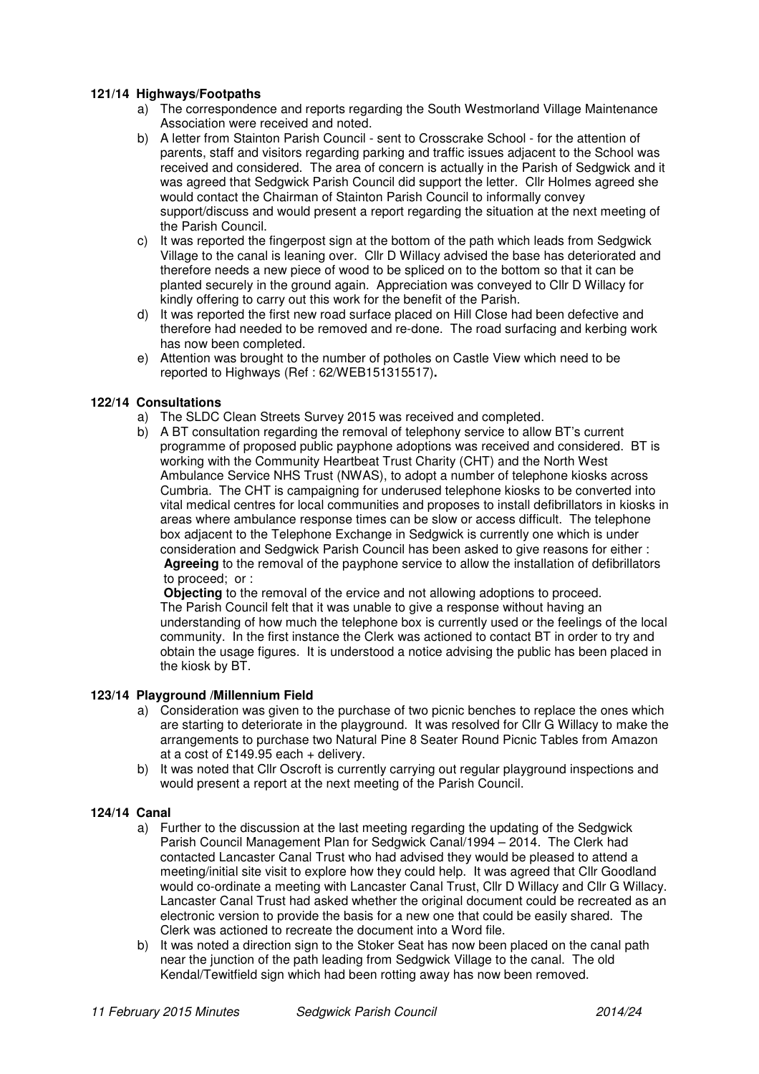# **121/14 Highways/Footpaths**

- a) The correspondence and reports regarding the South Westmorland Village Maintenance Association were received and noted.
- b) A letter from Stainton Parish Council sent to Crosscrake School for the attention of parents, staff and visitors regarding parking and traffic issues adjacent to the School was received and considered. The area of concern is actually in the Parish of Sedgwick and it was agreed that Sedgwick Parish Council did support the letter. Cllr Holmes agreed she would contact the Chairman of Stainton Parish Council to informally convey support/discuss and would present a report regarding the situation at the next meeting of the Parish Council.
- c) It was reported the fingerpost sign at the bottom of the path which leads from Sedgwick Village to the canal is leaning over. Cllr D Willacy advised the base has deteriorated and therefore needs a new piece of wood to be spliced on to the bottom so that it can be planted securely in the ground again. Appreciation was conveyed to Cllr D Willacy for kindly offering to carry out this work for the benefit of the Parish.
- d) It was reported the first new road surface placed on Hill Close had been defective and therefore had needed to be removed and re-done. The road surfacing and kerbing work has now been completed.
- e) Attention was brought to the number of potholes on Castle View which need to be reported to Highways (Ref : 62/WEB151315517)**.**

# **122/14 Consultations**

- a) The SLDC Clean Streets Survey 2015 was received and completed.
- b) A BT consultation regarding the removal of telephony service to allow BT's current programme of proposed public payphone adoptions was received and considered. BT is working with the Community Heartbeat Trust Charity (CHT) and the North West Ambulance Service NHS Trust (NWAS), to adopt a number of telephone kiosks across Cumbria. The CHT is campaigning for underused telephone kiosks to be converted into vital medical centres for local communities and proposes to install defibrillators in kiosks in areas where ambulance response times can be slow or access difficult. The telephone box adjacent to the Telephone Exchange in Sedgwick is currently one which is under consideration and Sedgwick Parish Council has been asked to give reasons for either : **Agreeing** to the removal of the payphone service to allow the installation of defibrillators to proceed; or :

**Objecting** to the removal of the ervice and not allowing adoptions to proceed. The Parish Council felt that it was unable to give a response without having an understanding of how much the telephone box is currently used or the feelings of the local community. In the first instance the Clerk was actioned to contact BT in order to try and obtain the usage figures. It is understood a notice advising the public has been placed in the kiosk by BT.

## **123/14 Playground /Millennium Field**

- a) Consideration was given to the purchase of two picnic benches to replace the ones which are starting to deteriorate in the playground. It was resolved for Cllr G Willacy to make the arrangements to purchase two Natural Pine 8 Seater Round Picnic Tables from Amazon at a cost of £149.95 each + delivery.
- b) It was noted that Cllr Oscroft is currently carrying out regular playground inspections and would present a report at the next meeting of the Parish Council.

### **124/14 Canal**

- a) Further to the discussion at the last meeting regarding the updating of the Sedgwick Parish Council Management Plan for Sedgwick Canal/1994 – 2014. The Clerk had contacted Lancaster Canal Trust who had advised they would be pleased to attend a meeting/initial site visit to explore how they could help. It was agreed that Cllr Goodland would co-ordinate a meeting with Lancaster Canal Trust, Cllr D Willacy and Cllr G Willacy. Lancaster Canal Trust had asked whether the original document could be recreated as an electronic version to provide the basis for a new one that could be easily shared. The Clerk was actioned to recreate the document into a Word file.
- b) It was noted a direction sign to the Stoker Seat has now been placed on the canal path near the junction of the path leading from Sedgwick Village to the canal. The old Kendal/Tewitfield sign which had been rotting away has now been removed.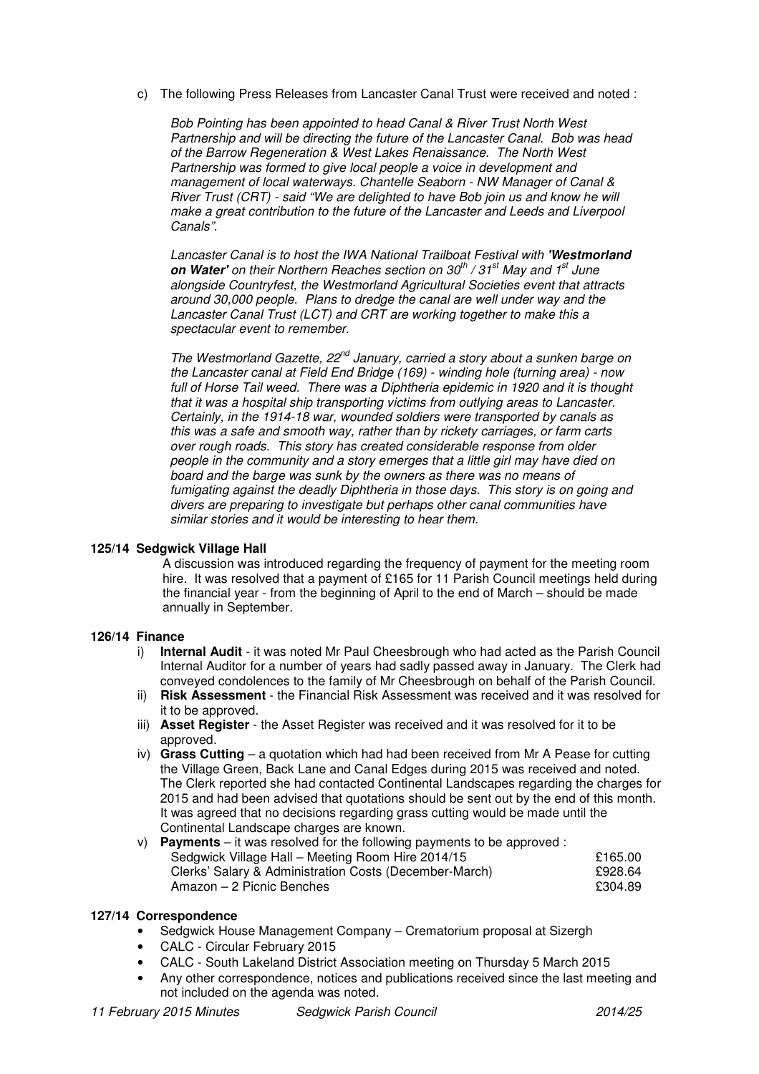c) The following Press Releases from Lancaster Canal Trust were received and noted :

Bob Pointing has been appointed to head Canal & River Trust North West Partnership and will be directing the future of the Lancaster Canal. Bob was head of the Barrow Regeneration & West Lakes Renaissance. The North West Partnership was formed to give local people a voice in development and management of local waterways. Chantelle Seaborn - NW Manager of Canal & River Trust (CRT) - said "We are delighted to have Bob join us and know he will make a great contribution to the future of the Lancaster and Leeds and Liverpool Canals".

Lancaster Canal is to host the IWA National Trailboat Festival with **'Westmorland on Water'** on their Northern Reaches section on 30<sup>th</sup> / 31<sup>st</sup> May and 1<sup>st</sup> June alongside Countryfest, the Westmorland Agricultural Societies event that attracts around 30,000 people. Plans to dredge the canal are well under way and the Lancaster Canal Trust (LCT) and CRT are working together to make this a spectacular event to remember.

The Westmorland Gazette, 22<sup>nd</sup> January, carried a story about a sunken barge on the Lancaster canal at Field End Bridge (169) - winding hole (turning area) - now full of Horse Tail weed. There was a Diphtheria epidemic in 1920 and it is thought that it was a hospital ship transporting victims from outlying areas to Lancaster. Certainly, in the 1914-18 war, wounded soldiers were transported by canals as this was a safe and smooth way, rather than by rickety carriages, or farm carts over rough roads. This story has created considerable response from older people in the community and a story emerges that a little girl may have died on board and the barge was sunk by the owners as there was no means of fumigating against the deadly Diphtheria in those days. This story is on going and divers are preparing to investigate but perhaps other canal communities have similar stories and it would be interesting to hear them.

### **125/14 Sedgwick Village Hall**

A discussion was introduced regarding the frequency of payment for the meeting room hire. It was resolved that a payment of £165 for 11 Parish Council meetings held during the financial year - from the beginning of April to the end of March – should be made annually in September.

### **126/14 Finance**

- i) **Internal Audit** it was noted Mr Paul Cheesbrough who had acted as the Parish Council Internal Auditor for a number of years had sadly passed away in January. The Clerk had conveyed condolences to the family of Mr Cheesbrough on behalf of the Parish Council.
- ii) **Risk Assessment** the Financial Risk Assessment was received and it was resolved for it to be approved.
- iii) **Asset Register** the Asset Register was received and it was resolved for it to be approved.
- iv) **Grass Cutting**  a quotation which had had been received from Mr A Pease for cutting the Village Green, Back Lane and Canal Edges during 2015 was received and noted. The Clerk reported she had contacted Continental Landscapes regarding the charges for 2015 and had been advised that quotations should be sent out by the end of this month. It was agreed that no decisions regarding grass cutting would be made until the Continental Landscape charges are known.

| v) Payments – it was resolved for the following payments to be approved : |         |
|---------------------------------------------------------------------------|---------|
| Sedgwick Village Hall – Meeting Room Hire 2014/15                         | £165.00 |
| Clerks' Salary & Administration Costs (December-March)                    | £928.64 |
| Amazon – 2 Picnic Benches                                                 | £304.89 |

## **127/14 Correspondence**

- Sedgwick House Management Company Crematorium proposal at Sizergh
- CALC Circular February 2015
- CALC South Lakeland District Association meeting on Thursday 5 March 2015
- Any other correspondence, notices and publications received since the last meeting and not included on the agenda was noted.